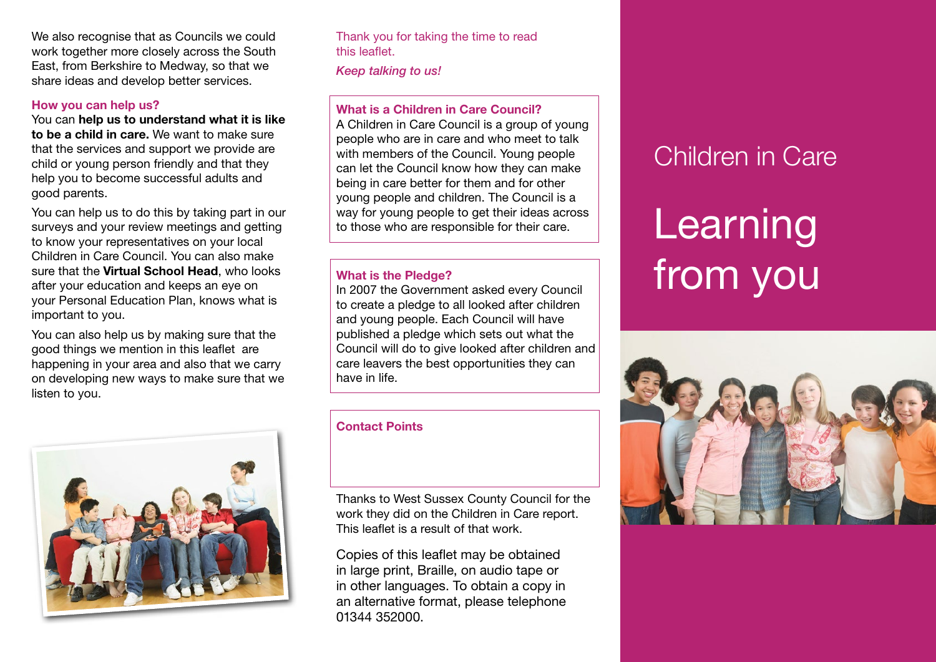We also recognise that as Councils we could work together more closely across the South East, from Berkshire to Medway, so that we share ideas and develop better services.

#### **How you can help us?**

You can **help us to understand what it is like to be a child in care.** We want to make sure that the services and support we provide are child or young person friendly and that they help you to become successful adults and good parents.

You can help us to do this by taking part in our surveys and your review meetings and getting to know your representatives on your local Children in Care Council. You can also make sure that the **Virtual School Head**, who looks after your education and keeps an eye on your Personal Education Plan, knows what is important to you.

You can also help us by making sure that the good things we mention in this leaflet are happening in your area and also that we carry on developing new ways to make sure that we listen to you.



Thank you for taking the time to read this leaflet.

*Keep talking to us!*

## **What is a Children in Care Council?**

A Children in Care Council is a group of young people who are in care and who meet to talk with members of the Council. Young people can let the Council know how they can make being in care better for them and for other young people and children. The Council is a way for young people to get their ideas across to those who are responsible for their care.

#### **What is the Pledge?**

In 2007 the Government asked every Council to create a pledge to all looked after children and young people. Each Council will have published a pledge which sets out what the Council will do to give looked after children and care leavers the best opportunities they can have in life.

#### **Contact Points**

Thanks to West Sussex County Council for the work they did on the Children in Care report. This leaflet is a result of that work.

Copies of this leaflet may be obtained in large print, Braille, on audio tape or in other languages. To obtain a copy in an alternative format, please telephone 01344 352000.

# Children in Care

# Learning from you